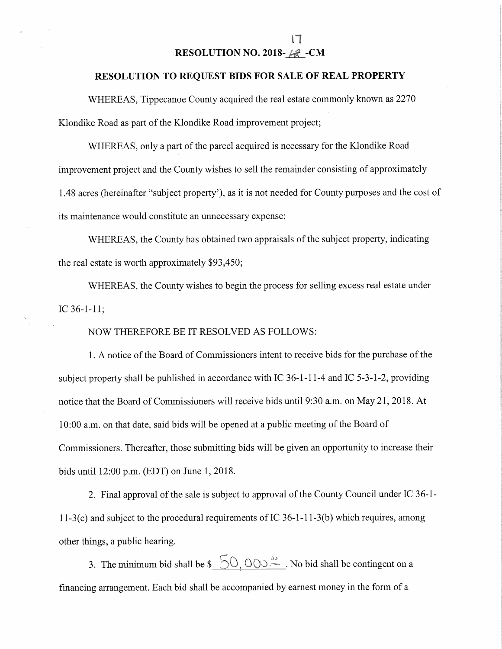## RESOLUTION NO. 2018- $\mathscr{A}$  -CM

IT

## RESOLUTION TO REQUEST BIDS FOR SALE OF REAL PROPERTY

WHEREAS, Tippecanoe County acquired the real estate commonly known as 2270 Klondike Road as part of the Klondike Road improvement project;

WHEREAS, only <sup>a</sup> part of the parcel acquired is necessary for the Klondike Road improvement project and the County wishes to sell the remainder consisting of approximately 1.48 acres (hereinafter "subject property"), as it is not needed for County purposes and the cost of its maintenance would constitute an unnecessary expense;

WHEREAS, the County has obtained two appraisals of the subject property, indicating the real estate is worth approximately \$93,450;

WHEREAS, the County wishes to begin the process for selling excess real estate under IC 36-1-11;

NOW THEREFORE BE IT RESOLVED AS FOLLOWS:

1. A notice of the Board of Commissioners intent to receive bids for the purchase of the subject property shall be published in accordance with IC  $36-1-11-4$  and IC  $5-3-1-2$ , providing notice that the Board of Commissioners will receive bids until 9:30 a.m. on May 21, 2018. At 10:00 a.m. on that date, said bids will be opened at a public meeting of the Board of Commissioners. Thereafter, those submitting bids will be given an opportunity to increase their bids until 12:00 pm.(EDT) on June 1, 2018.

2. Final approval of the sale is subject to approval of the County Council under IC 36-1- 11-3(c) and subject to the procedural requirements of IC 36-1-11-3(b) which requires, among other things, <sup>a</sup> public hearing.

3. The minimum bid shall be  $\mathcal{S}$   $\bigcirc$   $\bigcirc$   $\bigcirc$   $\bigcirc$   $\bigcirc$   $\bigcirc$ . No bid shall be contingent on a financing arrangement. Each bid shall be accompanied by earnest money in the form of <sup>a</sup>